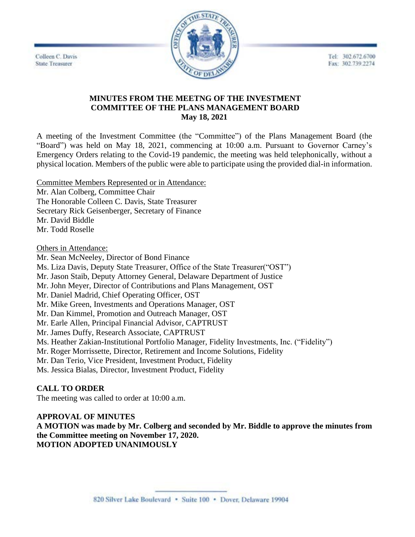Tel: 302.672.6700 Fax: 302.739.2274

Colleen C. Davis **State Treasurer** 



## **MINUTES FROM THE MEETNG OF THE INVESTMENT COMMITTEE OF THE PLANS MANAGEMENT BOARD May 18, 2021**

A meeting of the Investment Committee (the "Committee") of the Plans Management Board (the "Board") was held on May 18, 2021, commencing at 10:00 a.m. Pursuant to Governor Carney's Emergency Orders relating to the Covid-19 pandemic, the meeting was held telephonically, without a physical location. Members of the public were able to participate using the provided dial-in information.

Committee Members Represented or in Attendance: Mr. Alan Colberg, Committee Chair The Honorable Colleen C. Davis, State Treasurer Secretary Rick Geisenberger, Secretary of Finance Mr. David Biddle Mr. Todd Roselle

Others in Attendance:

Mr. Sean McNeeley, Director of Bond Finance Ms. Liza Davis, Deputy State Treasurer, Office of the State Treasurer("OST") Mr. Jason Staib, Deputy Attorney General, Delaware Department of Justice Mr. John Meyer, Director of Contributions and Plans Management, OST Mr. Daniel Madrid, Chief Operating Officer, OST Mr. Mike Green, Investments and Operations Manager, OST Mr. Dan Kimmel, Promotion and Outreach Manager, OST Mr. Earle Allen, Principal Financial Advisor, CAPTRUST Mr. James Duffy, Research Associate, CAPTRUST Ms. Heather Zakian-Institutional Portfolio Manager, Fidelity Investments, Inc. ("Fidelity") Mr. Roger Morrissette, Director, Retirement and Income Solutions, Fidelity Mr. Dan Terio, Vice President, Investment Product, Fidelity Ms. Jessica Bialas, Director, Investment Product, Fidelity

# **CALL TO ORDER**

The meeting was called to order at 10:00 a.m.

# **APPROVAL OF MINUTES**

**A MOTION was made by Mr. Colberg and seconded by Mr. Biddle to approve the minutes from the Committee meeting on November 17, 2020. MOTION ADOPTED UNANIMOUSLY**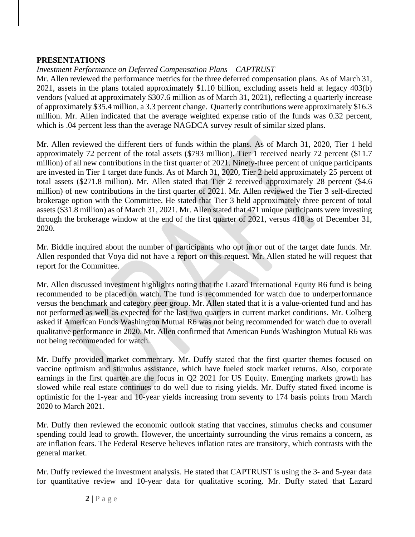## **PRESENTATIONS**

# *Investment Performance on Deferred Compensation Plans – CAPTRUST*

Mr. Allen reviewed the performance metrics for the three deferred compensation plans. As of March 31, 2021, assets in the plans totaled approximately \$1.10 billion, excluding assets held at legacy 403(b) vendors (valued at approximately \$307.6 million as of March 31, 2021), reflecting a quarterly increase of approximately \$35.4 million, a 3.3 percent change. Quarterly contributions were approximately \$16.3 million. Mr. Allen indicated that the average weighted expense ratio of the funds was 0.32 percent, which is .04 percent less than the average NAGDCA survey result of similar sized plans.

Mr. Allen reviewed the different tiers of funds within the plans. As of March 31, 2020, Tier 1 held approximately 72 percent of the total assets (\$793 million). Tier 1 received nearly 72 percent (\$11.7 million) of all new contributions in the first quarter of 2021. Ninety-three percent of unique participants are invested in Tier 1 target date funds. As of March 31, 2020, Tier 2 held approximately 25 percent of total assets (\$271.8 million). Mr. Allen stated that Tier 2 received approximately 28 percent (\$4.6 million) of new contributions in the first quarter of 2021. Mr. Allen reviewed the Tier 3 self-directed brokerage option with the Committee. He stated that Tier 3 held approximately three percent of total assets (\$31.8 million) as of March 31, 2021. Mr. Allen stated that 471 unique participants were investing through the brokerage window at the end of the first quarter of 2021, versus 418 as of December 31, 2020.

Mr. Biddle inquired about the number of participants who opt in or out of the target date funds. Mr. Allen responded that Voya did not have a report on this request. Mr. Allen stated he will request that report for the Committee.

Mr. Allen discussed investment highlights noting that the Lazard International Equity R6 fund is being recommended to be placed on watch. The fund is recommended for watch due to underperformance versus the benchmark and category peer group. Mr. Allen stated that it is a value-oriented fund and has not performed as well as expected for the last two quarters in current market conditions. Mr. Colberg asked if American Funds Washington Mutual R6 was not being recommended for watch due to overall qualitative performance in 2020. Mr. Allen confirmed that American Funds Washington Mutual R6 was not being recommended for watch.

Mr. Duffy provided market commentary. Mr. Duffy stated that the first quarter themes focused on vaccine optimism and stimulus assistance, which have fueled stock market returns. Also, corporate earnings in the first quarter are the focus in Q2 2021 for US Equity. Emerging markets growth has slowed while real estate continues to do well due to rising yields. Mr. Duffy stated fixed income is optimistic for the 1-year and 10-year yields increasing from seventy to 174 basis points from March 2020 to March 2021.

Mr. Duffy then reviewed the economic outlook stating that vaccines, stimulus checks and consumer spending could lead to growth. However, the uncertainty surrounding the virus remains a concern, as are inflation fears. The Federal Reserve believes inflation rates are transitory, which contrasts with the general market.

Mr. Duffy reviewed the investment analysis. He stated that CAPTRUST is using the 3- and 5-year data for quantitative review and 10-year data for qualitative scoring. Mr. Duffy stated that Lazard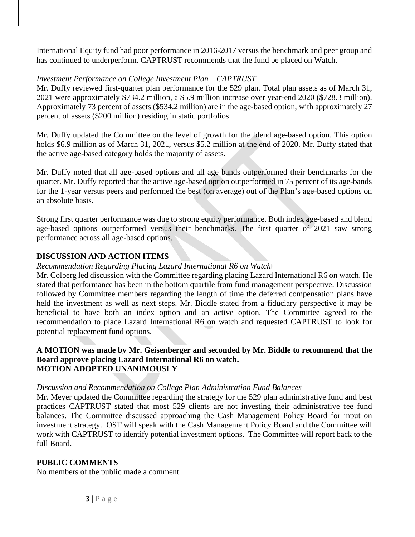International Equity fund had poor performance in 2016-2017 versus the benchmark and peer group and has continued to underperform. CAPTRUST recommends that the fund be placed on Watch.

## *Investment Performance on College Investment Plan – CAPTRUST*

Mr. Duffy reviewed first-quarter plan performance for the 529 plan. Total plan assets as of March 31, 2021 were approximately \$734.2 million, a \$5.9 million increase over year-end 2020 (\$728.3 million). Approximately 73 percent of assets (\$534.2 million) are in the age-based option, with approximately 27 percent of assets (\$200 million) residing in static portfolios.

Mr. Duffy updated the Committee on the level of growth for the blend age-based option. This option holds \$6.9 million as of March 31, 2021, versus \$5.2 million at the end of 2020. Mr. Duffy stated that the active age-based category holds the majority of assets.

Mr. Duffy noted that all age-based options and all age bands outperformed their benchmarks for the quarter. Mr. Duffy reported that the active age-based option outperformed in 75 percent of its age-bands for the 1-year versus peers and performed the best (on average) out of the Plan's age-based options on an absolute basis.

Strong first quarter performance was due to strong equity performance. Both index age-based and blend age-based options outperformed versus their benchmarks. The first quarter of 2021 saw strong performance across all age-based options.

# **DISCUSSION AND ACTION ITEMS**

## *Recommendation Regarding Placing Lazard International R6 on Watch*

Mr. Colberg led discussion with the Committee regarding placing Lazard International R6 on watch. He stated that performance has been in the bottom quartile from fund management perspective. Discussion followed by Committee members regarding the length of time the deferred compensation plans have held the investment as well as next steps. Mr. Biddle stated from a fiduciary perspective it may be beneficial to have both an index option and an active option. The Committee agreed to the recommendation to place Lazard International R6 on watch and requested CAPTRUST to look for potential replacement fund options.

#### **A MOTION was made by Mr. Geisenberger and seconded by Mr. Biddle to recommend that the Board approve placing Lazard International R6 on watch. MOTION ADOPTED UNANIMOUSLY**

### *Discussion and Recommendation on College Plan Administration Fund Balances*

Mr. Meyer updated the Committee regarding the strategy for the 529 plan administrative fund and best practices CAPTRUST stated that most 529 clients are not investing their administrative fee fund balances. The Committee discussed approaching the Cash Management Policy Board for input on investment strategy. OST will speak with the Cash Management Policy Board and the Committee will work with CAPTRUST to identify potential investment options. The Committee will report back to the full Board.

# **PUBLIC COMMENTS**

No members of the public made a comment.